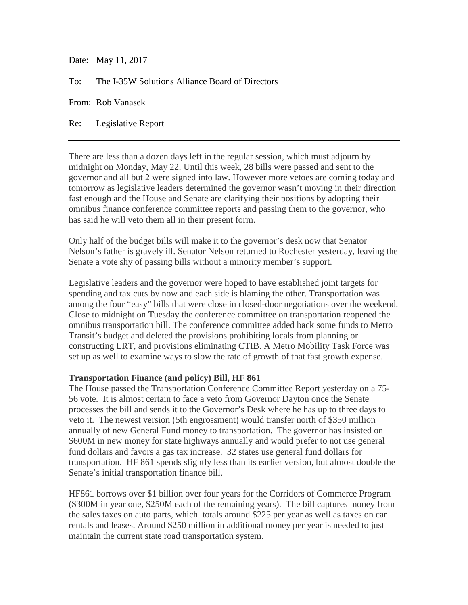Date: May 11, 2017

To: The I-35W Solutions Alliance Board of Directors

From: Rob Vanasek

Re: Legislative Report

There are less than a dozen days left in the regular session, which must adjourn by midnight on Monday, May 22. Until this week, 28 bills were passed and sent to the governor and all but 2 were signed into law. However more vetoes are coming today and tomorrow as legislative leaders determined the governor wasn't moving in their direction fast enough and the House and Senate are clarifying their positions by adopting their omnibus finance conference committee reports and passing them to the governor, who has said he will veto them all in their present form.

Only half of the budget bills will make it to the governor's desk now that Senator Nelson's father is gravely ill. Senator Nelson returned to Rochester yesterday, leaving the Senate a vote shy of passing bills without a minority member's support.

Legislative leaders and the governor were hoped to have established joint targets for spending and tax cuts by now and each side is blaming the other. Transportation was among the four "easy" bills that were close in closed-door negotiations over the weekend. Close to midnight on Tuesday the conference committee on transportation reopened the omnibus transportation bill. The conference committee added back some funds to Metro Transit's budget and deleted the provisions prohibiting locals from planning or constructing LRT, and provisions eliminating CTIB. A Metro Mobility Task Force was set up as well to examine ways to slow the rate of growth of that fast growth expense.

## **Transportation Finance (and policy) Bill, HF 861**

The House passed the Transportation Conference Committee Report yesterday on a 75- 56 vote. It is almost certain to face a veto from Governor Dayton once the Senate processes the bill and sends it to the Governor's Desk where he has up to three days to veto it. The newest version (5th engrossment) would transfer north of \$350 million annually of new General Fund money to transportation. The governor has insisted on \$600M in new money for state highways annually and would prefer to not use general fund dollars and favors a gas tax increase. 32 states use general fund dollars for transportation. HF 861 spends slightly less than its earlier version, but almost double the Senate's initial transportation finance bill.

HF861 borrows over \$1 billion over four years for the Corridors of Commerce Program (\$300M in year one, \$250M each of the remaining years). The bill captures money from the sales taxes on auto parts, which totals around \$225 per year as well as taxes on car rentals and leases. Around \$250 million in additional money per year is needed to just maintain the current state road transportation system.